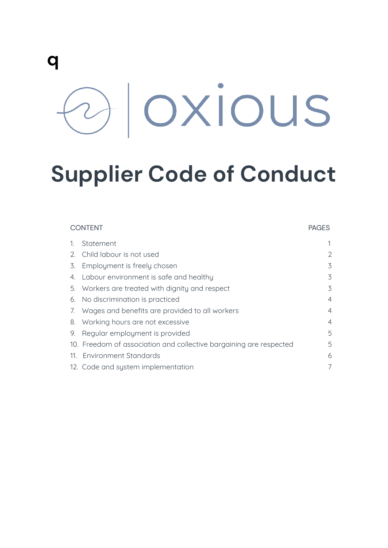# **q** Oxious

## **Supplier Code of Conduct**

| <b>CONTENT</b> |                                                                    | <b>PAGES</b>   |
|----------------|--------------------------------------------------------------------|----------------|
|                | Statement                                                          |                |
| 2.             | Child labour is not used                                           | 2              |
| 3.             | Employment is freely chosen                                        | 3              |
| 4.             | Labour environment is safe and healthy                             | 3              |
|                | 5. Workers are treated with dignity and respect                    | 3              |
| 6.             | No discrimination is practiced                                     | $\overline{4}$ |
| 7.             | Wages and benefits are provided to all workers                     | $\overline{4}$ |
|                | 8. Working hours are not excessive                                 | $\overline{4}$ |
| 9.             | Regular employment is provided                                     | 5              |
|                | 10. Freedom of association and collective bargaining are respected | 5              |
|                | 11. Environment Standards                                          | 6              |
|                | 12. Code and system implementation                                 | $\overline{7}$ |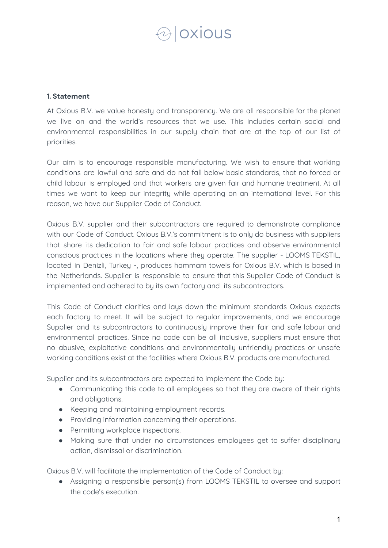### **designs**

#### **1. Statement**

At Oxious B.V. we value honestu and transparency. We are all responsible for the planet we live on and the world's resources that we use. This includes certain social and environmental responsibilities in our supply chain that are at the top of our list of priorities.

Our aim is to encourage responsible manufacturing. We wish to ensure that working conditions are lawful and safe and do not fall below basic standards, that no forced or child labour is employed and that workers are given fair and humane treatment. At all times we want to keep our integrity while operating on an international level. For this reason, we have our Supplier Code of Conduct.

Oxious B.V. supplier and their subcontractors are required to demonstrate compliance with our Code of Conduct. Oxious B.V.'s commitment is to only do business with suppliers that share its dedication to fair and safe labour practices and observe environmental conscious practices in the locations where they operate. The supplier - LOOMS TEKSTIL, located in Denizli, Turkey -, produces hammam towels for Oxious B.V. which is based in the Netherlands. Supplier is responsible to ensure that this Supplier Code of Conduct is implemented and adhered to by its own factory and its subcontractors.

This Code of Conduct clarifies and lays down the minimum standards Oxious expects each factory to meet. It will be subject to regular improvements, and we encourage Supplier and its subcontractors to continuously improve their fair and safe labour and environmental practices. Since no code can be all inclusive, suppliers must ensure that no abusive, exploitative conditions and environmentally unfriendly practices or unsafe working conditions exist at the facilities where Oxious B.V. products are manufactured.

Supplier and its subcontractors are expected to implement the Code by:

- Communicating this code to all employees so that they are aware of their rights and obligations.
- Keeping and maintaining employment records.
- Providing information concerning their operations.
- Permitting workplace inspections.
- Making sure that under no circumstances employees get to suffer disciplinary action, dismissal or discrimination.

Oxious B.V. will facilitate the implementation of the Code of Conduct by:

● Assigning a responsible person(s) from LOOMS TEKSTIL to oversee and support the code's execution.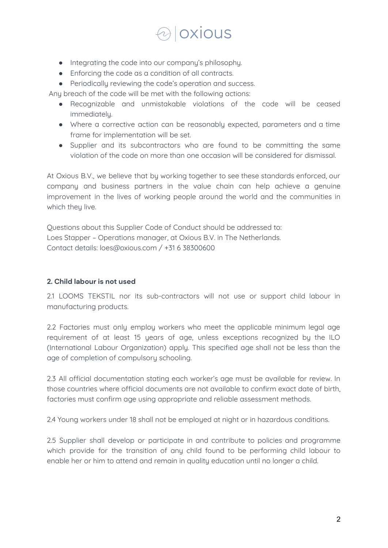### oxious

- Integrating the code into our company's philosophy.
- Enforcing the code as a condition of all contracts.
- Periodically reviewing the code's operation and success.

Any breach of the code will be met with the following actions:

- Recognizable and unmistakable violations of the code will be ceased immediatelu.
- Where a corrective action can be reasonably expected, parameters and a time frame for implementation will be set.
- Supplier and its subcontractors who are found to be committing the same violation of the code on more than one occasion will be considered for dismissal.

At Oxious B.V., we believe that by working together to see these standards enforced, our company and business partners in the value chain can help achieve a genuine improvement in the lives of working people around the world and the communities in which they live.

Questions about this Supplier Code of Conduct should be addressed to: Loes Stapper – Operations manager, at Oxious B.V. in The Netherlands. Contact details: loes@oxious.com / +31 6 38300600

#### **2. Child labour is not used**

2.1 LOOMS TEKSTIL nor its sub-contractors will not use or support child labour in manufacturing products.

2.2 Factories must only employ workers who meet the applicable minimum legal age requirement of at least 15 years of age, unless exceptions recognized by the ILO (International Labour Organization) apply. This specified age shall not be less than the age of completion of compulsory schooling.

2.3 All official documentation stating each worker's age must be available for review. In those countries where official documents are not available to confirm exact date of birth, factories must confirm age using appropriate and reliable assessment methods.

2.4 Young workers under 18 shall not be emploued at night or in hazardous conditions.

2.5 Supplier shall develop or participate in and contribute to policies and programme which provide for the transition of any child found to be performing child labour to enable her or him to attend and remain in quality education until no longer a child.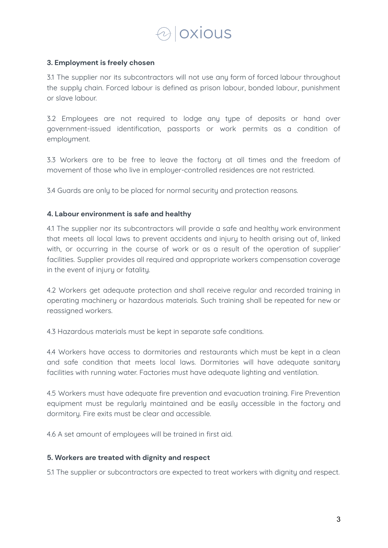### **Oxious**

#### **3. Employment is freely chosen**

3.1 The supplier nor its subcontractors will not use any form of forced labour throughout the supply chain. Forced labour is defined as prison labour, bonded labour, punishment or slave labour.

3.2 Employees are not required to lodge any type of deposits or hand over government-issued identification, passports or work permits as a condition of emploument.

3.3 Workers are to be free to leave the factory at all times and the freedom of movement of those who live in employer-controlled residences are not restricted.

3.4 Guards are only to be placed for normal security and protection reasons.

#### **4. Labour environment is safe and healthy**

4.1 The supplier nor its subcontractors will provide a safe and healthy work environment that meets all local laws to prevent accidents and injury to health arising out of, linked with, or occurring in the course of work or as a result of the operation of supplier' facilities. Supplier provides all required and appropriate workers compensation coverage in the event of injury or fatality.

4.2 Workers get adequate protection and shall receive regular and recorded training in operating machinery or hazardous materials. Such training shall be repeated for new or reassigned workers.

4.3 Hazardous materials must be kept in separate safe conditions.

4.4 Workers have access to dormitories and restaurants which must be kept in a clean and safe condition that meets local laws. Dormitories will have adequate sanitary facilities with running water. Factories must have adequate lighting and ventilation.

4.5 Workers must have adequate fire prevention and evacuation training. Fire Prevention equipment must be regularly maintained and be easily accessible in the factory and dormitory. Fire exits must be clear and accessible.

4.6 A set amount of employees will be trained in first aid.

#### **5. Workers are treated with dignity and respect**

5.1 The supplier or subcontractors are expected to treat workers with dignity and respect.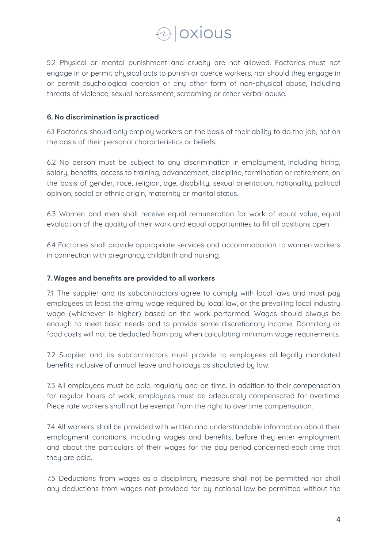### **loxious**

5.2 Physical or mental punishment and cruelty are not allowed. Factories must not engage in or permit physical acts to punish or coerce workers, nor should they engage in or permit psychological coercion or any other form of non-physical abuse, including threats of violence, sexual harassment, screaming or other verbal abuse.

#### **6. No discrimination is practiced**

6.1 Factories should only employ workers on the basis of their ability to do the job, not on the basis of their personal characteristics or beliefs.

6.2 No person must be subject to any discrimination in employment, including hiring, salary, benefits, access to training, advancement, discipline, termination or retirement, on the basis of gender, race, religion, age, disability, sexual orientation, nationality, political opinion, social or ethnic origin, maternity or marital status.

6.3 Women and men shall receive equal remuneration for work of equal value, equal evaluation of the quality of their work and equal opportunities to fill all positions open.

6.4 Factories shall provide appropriate services and accommodation to women workers in connection with pregnancy, childbirth and nursing.

#### **7. Wages and benefits are provided to all workers**

7.1 The supplier and its subcontractors agree to comply with local laws and must pay employees at least the army wage required by local law, or the prevailing local industry wage (whichever is higher) based on the work performed. Wages should always be enough to meet basic needs and to provide some discretionary income. Dormitory or food costs will not be deducted from pay when calculating minimum wage requirements.

7.2 Supplier and its subcontractors must provide to employees all legally mandated benefits inclusive of annual leave and holidays as stipulated by law.

7.3 All employees must be paid regularly and on time. In addition to their compensation for regular hours of work, employees must be adequately compensated for overtime. Piece rate workers shall not be exempt from the right to overtime compensation.

7.4 All workers shall be provided with written and understandable information about their employment conditions, including wages and benefits, before they enter employment and about the particulars of their wages for the pay period concerned each time that they are paid.

7.5 Deductions from wages as a disciplinary measure shall not be permitted nor shall any deductions from wages not provided for by national law be permitted without the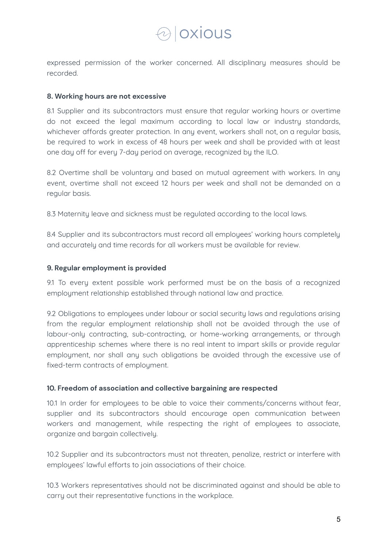### *A* | OXIOUS

expressed permission of the worker concerned. All disciplinary measures should be recorded.

#### **8. Working hours are not excessive**

8.1 Supplier and its subcontractors must ensure that regular working hours or overtime do not exceed the legal maximum according to local law or industry standards, whichever affords greater protection. In any event, workers shall not, on a regular basis, be required to work in excess of 48 hours per week and shall be provided with at least one day off for every 7-day period on average, recognized by the ILO.

8.2 Overtime shall be voluntary and based on mutual agreement with workers. In any event, overtime shall not exceed 12 hours per week and shall not be demanded on a regular basis.

8.3 Maternity leave and sickness must be regulated according to the local laws.

8.4 Supplier and its subcontractors must record all employees' working hours completely and accurately and time records for all workers must be available for review.

#### **9. Regular employment is provided**

9.1 To every extent possible work performed must be on the basis of a recognized employment relationship established through national law and practice.

9.2 Obligations to employees under labour or social security laws and regulations arising from the regular employment relationship shall not be avoided through the use of labour-only contracting, sub-contracting, or home-working arrangements, or through apprenticeship schemes where there is no real intent to impart skills or provide regular employment, nor shall any such obligations be avoided through the excessive use of fixed-term contracts of emploument.

#### **10. Freedom of association and collective bargaining are respected**

10.1 In order for employees to be able to voice their comments/concerns without fear, supplier and its subcontractors should encourage open communication between workers and management, while respecting the right of employees to associate, organize and bargain collectively.

10.2 Supplier and its subcontractors must not threaten, penalize, restrict or interfere with employees' lawful efforts to join associations of their choice.

10.3 Workers representatives should not be discriminated against and should be able to carry out their representative functions in the workplace.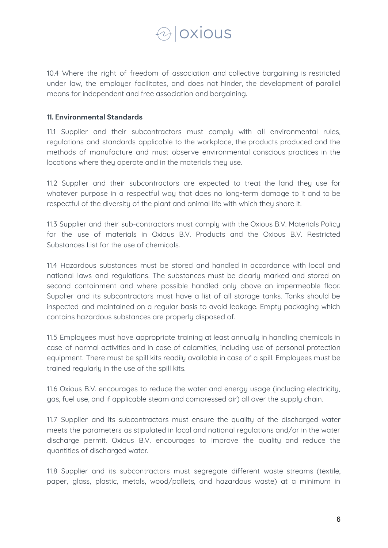

10.4 Where the right of freedom of association and collective bargaining is restricted under law, the employer facilitates, and does not hinder, the development of parallel means for independent and free association and bargaining.

#### **11. Environmental Standards**

11.1 Supplier and their subcontractors must comply with all environmental rules, regulations and standards applicable to the workplace, the products produced and the methods of manufacture and must observe environmental conscious practices in the locations where they operate and in the materials they use.

11.2 Supplier and their subcontractors are expected to treat the land they use for whatever purpose in a respectful way that does no long-term damage to it and to be respectful of the diversity of the plant and animal life with which they share it.

11.3 Supplier and their sub-contractors must comply with the Oxious B.V. Materials Policy for the use of materials in Oxious B.V. Products and the Oxious B.V. Restricted Substances List for the use of chemicals.

11.4 Hazardous substances must be stored and handled in accordance with local and national laws and regulations. The substances must be clearly marked and stored on second containment and where possible handled only above an impermeable floor. Supplier and its subcontractors must have a list of all storage tanks. Tanks should be inspected and maintained on a regular basis to avoid leakage. Empty packaging which contains hazardous substances are properly disposed of.

11.5 Employees must have appropriate training at least annually in handling chemicals in case of normal activities and in case of calamities, including use of personal protection equipment. There must be spill kits readily available in case of a spill. Employees must be trained regularly in the use of the spill kits.

11.6 Oxious B.V. encourages to reduce the water and energy usage (including electricity, gas, fuel use, and if applicable steam and compressed air) all over the supply chain.

11.7 Supplier and its subcontractors must ensure the quality of the discharged water meets the parameters as stipulated in local and national regulations and/or in the water discharge permit. Oxious B.V. encourages to improve the quality and reduce the quantities of discharged water.

11.8 Supplier and its subcontractors must segregate different waste streams (textile, paper, glass, plastic, metals, wood/pallets, and hazardous waste) at a minimum in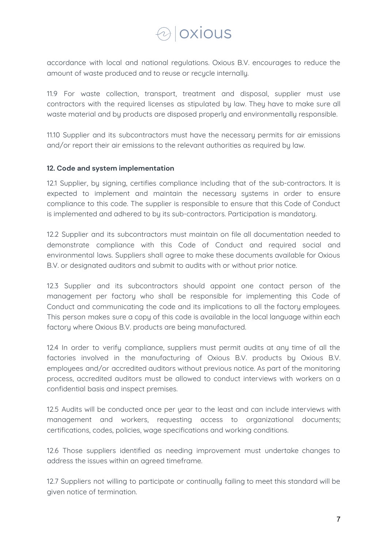### aloxious

accordance with local and national regulations. Oxious B.V. encourages to reduce the amount of waste produced and to reuse or recycle internally.

11.9 For waste collection, transport, treatment and disposal, supplier must use contractors with the required licenses as stipulated by law. They have to make sure all waste material and by products are disposed properly and environmentally responsible.

11.10 Supplier and its subcontractors must have the necessary permits for air emissions and/or report their air emissions to the relevant authorities as required by law.

#### **12. Code and system implementation**

12.1 Supplier, by signing, certifies compliance including that of the sub-contractors. It is expected to implement and maintain the necessary systems in order to ensure compliance to this code. The supplier is responsible to ensure that this Code of Conduct is implemented and adhered to by its sub-contractors. Participation is mandatory.

12.2 Supplier and its subcontractors must maintain on file all documentation needed to demonstrate compliance with this Code of Conduct and required social and environmental laws. Suppliers shall agree to make these documents available for Oxious B.V. or designated auditors and submit to audits with or without prior notice.

12.3 Supplier and its subcontractors should appoint one contact person of the management per factory who shall be responsible for implementing this Code of Conduct and communicating the code and its implications to all the factory employees. This person makes sure a copy of this code is available in the local language within each factory where Oxious B.V. products are being manufactured.

12.4 In order to verify compliance, suppliers must permit audits at any time of all the factories involved in the manufacturing of Oxious B.V. products by Oxious B.V. employees and/or accredited auditors without previous notice. As part of the monitoring process, accredited auditors must be allowed to conduct interviews with workers on a confidential basis and inspect premises.

12.5 Audits will be conducted once per uear to the least and can include interviews with management and workers, requesting access to organizational documents; certifications, codes, policies, wage specifications and working conditions.

12.6 Those suppliers identified as needing improvement must undertake changes to address the issues within an agreed timeframe.

12.7 Suppliers not willing to participate or continually failing to meet this standard will be given notice of termination.